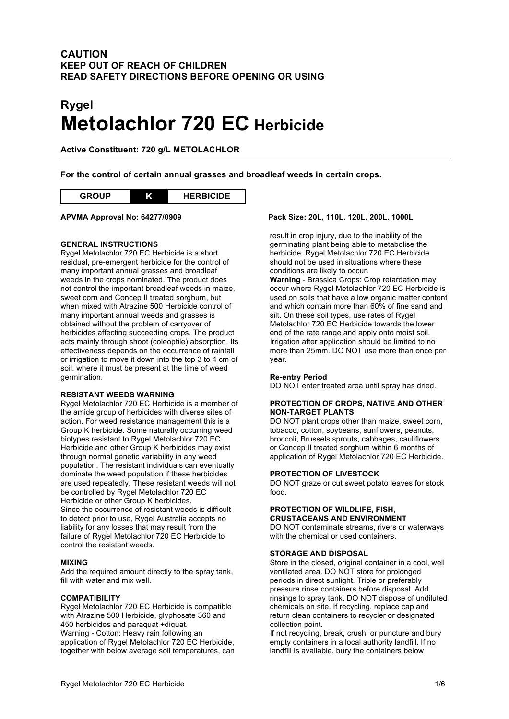# **CAUTION KEEP OUT OF REACH OF CHILDREN READ SAFETY DIRECTIONS BEFORE OPENING OR USING**

# **Rygel Metolachlor 720 EC Herbicide**

**Active Constituent: 720 g/L METOLACHLOR**

**For the control of certain annual grasses and broadleaf weeds in certain crops.**



#### **GENERAL INSTRUCTIONS**

Rygel Metolachlor 720 EC Herbicide is a short residual, pre-emergent herbicide for the control of many important annual grasses and broadleaf weeds in the crops nominated. The product does not control the important broadleaf weeds in maize, sweet corn and Concep II treated sorghum, but when mixed with Atrazine 500 Herbicide control of many important annual weeds and grasses is obtained without the problem of carryover of herbicides affecting succeeding crops. The product acts mainly through shoot (coleoptile) absorption. Its effectiveness depends on the occurrence of rainfall or irrigation to move it down into the top 3 to 4 cm of soil, where it must be present at the time of weed germination.

#### **RESISTANT WEEDS WARNING**

Rygel Metolachlor 720 EC Herbicide is a member of the amide group of herbicides with diverse sites of action. For weed resistance management this is a Group K herbicide. Some naturally occurring weed biotypes resistant to Rygel Metolachlor 720 EC Herbicide and other Group K herbicides may exist through normal genetic variability in any weed population. The resistant individuals can eventually dominate the weed population if these herbicides are used repeatedly. These resistant weeds will not be controlled by Rygel Metolachlor 720 EC Herbicide or other Group K herbicides. Since the occurrence of resistant weeds is difficult to detect prior to use, Rygel Australia accepts no liability for any losses that may result from the failure of Rygel Metolachlor 720 EC Herbicide to control the resistant weeds.

#### **MIXING**

Add the required amount directly to the spray tank, fill with water and mix well.

#### **COMPATIBILITY**

Rygel Metolachlor 720 EC Herbicide is compatible with Atrazine 500 Herbicide, glyphosate 360 and 450 herbicides and paraquat +diquat. Warning - Cotton: Heavy rain following an application of Rygel Metolachlor 720 EC Herbicide, together with below average soil temperatures, can

#### **APVMA Approval No: 64277/0909 Pack Size: 20L, 110L, 120L, 200L, 1000L**

result in crop injury, due to the inability of the germinating plant being able to metabolise the herbicide. Rygel Metolachlor 720 EC Herbicide should not be used in situations where these conditions are likely to occur.

**Warning** - Brassica Crops: Crop retardation may occur where Rygel Metolachlor 720 EC Herbicide is used on soils that have a low organic matter content and which contain more than 60% of fine sand and silt. On these soil types, use rates of Rygel Metolachlor 720 EC Herbicide towards the lower end of the rate range and apply onto moist soil. Irrigation after application should be limited to no more than 25mm. DO NOT use more than once per year.

#### **Re-entry Period**

DO NOT enter treated area until spray has dried.

#### **PROTECTION OF CROPS, NATIVE AND OTHER NON-TARGET PLANTS**

DO NOT plant crops other than maize, sweet corn, tobacco, cotton, soybeans, sunflowers, peanuts, broccoli, Brussels sprouts, cabbages, cauliflowers or Concep II treated sorghum within 6 months of application of Rygel Metolachlor 720 EC Herbicide.

#### **PROTECTION OF LIVESTOCK**

DO NOT graze or cut sweet potato leaves for stock food.

### **PROTECTION OF WILDLIFE, FISH, CRUSTACEANS AND ENVIRONMENT**

DO NOT contaminate streams, rivers or waterways with the chemical or used containers.

#### **STORAGE AND DISPOSAL**

Store in the closed, original container in a cool, well ventilated area. DO NOT store for prolonged periods in direct sunlight. Triple or preferably pressure rinse containers before disposal. Add rinsings to spray tank. DO NOT dispose of undiluted chemicals on site. If recycling, replace cap and return clean containers to recycler or designated collection point.

If not recycling, break, crush, or puncture and bury empty containers in a local authority landfill. If no landfill is available, bury the containers below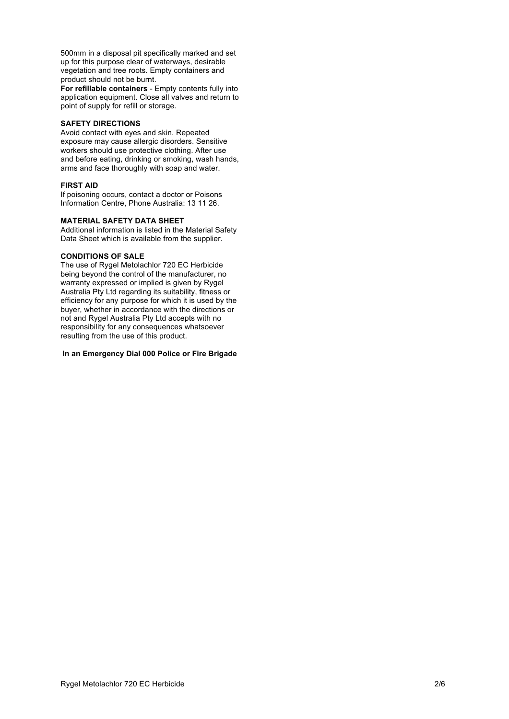500mm in a disposal pit specifically marked and set up for this purpose clear of waterways, desirable vegetation and tree roots. Empty containers and product should not be burnt.

**For refillable containers** - Empty contents fully into application equipment. Close all valves and return to point of supply for refill or storage.

#### **SAFETY DIRECTIONS**

Avoid contact with eyes and skin. Repeated exposure may cause allergic disorders. Sensitive workers should use protective clothing. After use and before eating, drinking or smoking, wash hands, arms and face thoroughly with soap and water.

#### **FIRST AID**

If poisoning occurs, contact a doctor or Poisons Information Centre, Phone Australia: 13 11 26.

#### **MATERIAL SAFETY DATA SHEET**

Additional information is listed in the Material Safety Data Sheet which is available from the supplier.

#### **CONDITIONS OF SALE**

The use of Rygel Metolachlor 720 EC Herbicide being beyond the control of the manufacturer, no warranty expressed or implied is given by Rygel Australia Pty Ltd regarding its suitability, fitness or efficiency for any purpose for which it is used by the buyer, whether in accordance with the directions or not and Rygel Australia Pty Ltd accepts with no responsibility for any consequences whatsoever resulting from the use of this product.

#### **In an Emergency Dial 000 Police or Fire Brigade**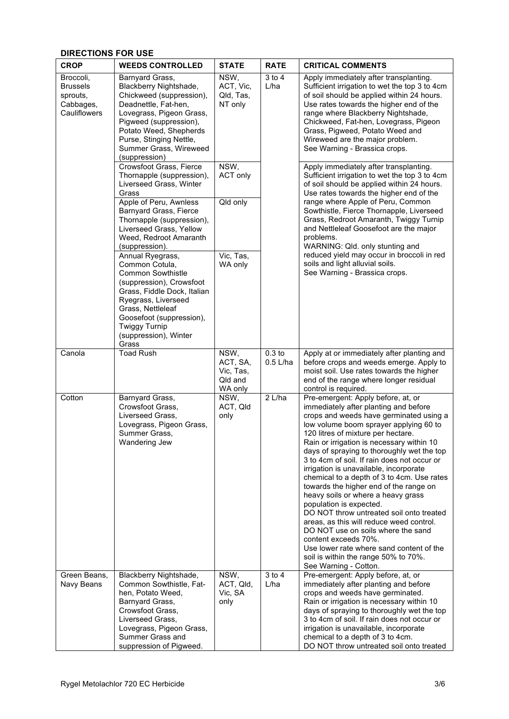## **DIRECTIONS FOR USE**

| <b>CROP</b>                                                           | <b>WEEDS CONTROLLED</b>                                                                                                                                                                                                                                     | <b>STATE</b>                                        | <b>RATE</b>                     | <b>CRITICAL COMMENTS</b>                                                                                                                                                                                                                                                                                                                                                                                                                                                                                                                                                                                                                                                                                                                                                                                               |
|-----------------------------------------------------------------------|-------------------------------------------------------------------------------------------------------------------------------------------------------------------------------------------------------------------------------------------------------------|-----------------------------------------------------|---------------------------------|------------------------------------------------------------------------------------------------------------------------------------------------------------------------------------------------------------------------------------------------------------------------------------------------------------------------------------------------------------------------------------------------------------------------------------------------------------------------------------------------------------------------------------------------------------------------------------------------------------------------------------------------------------------------------------------------------------------------------------------------------------------------------------------------------------------------|
| Broccoli,<br><b>Brussels</b><br>sprouts,<br>Cabbages,<br>Cauliflowers | Barnyard Grass,<br>Blackberry Nightshade,<br>Chickweed (suppression),<br>Deadnettle, Fat-hen,<br>Lovegrass, Pigeon Grass,<br>Pigweed (suppression),<br>Potato Weed, Shepherds<br>Purse, Stinging Nettle,<br>Summer Grass, Wireweed<br>(suppression)         | NSW,<br>ACT, Vic,<br>Qld, Tas,<br>NT only           | 3 to 4<br>L/ha                  | Apply immediately after transplanting.<br>Sufficient irrigation to wet the top 3 to 4cm<br>of soil should be applied within 24 hours.<br>Use rates towards the higher end of the<br>range where Blackberry Nightshade,<br>Chickweed, Fat-hen, Lovegrass, Pigeon<br>Grass, Pigweed, Potato Weed and<br>Wireweed are the major problem.<br>See Warning - Brassica crops.                                                                                                                                                                                                                                                                                                                                                                                                                                                 |
|                                                                       | Crowsfoot Grass, Fierce<br>Thornapple (suppression),<br>Liverseed Grass, Winter<br>Grass                                                                                                                                                                    | NSW,<br>ACT only                                    |                                 | Apply immediately after transplanting.<br>Sufficient irrigation to wet the top 3 to 4cm<br>of soil should be applied within 24 hours.<br>Use rates towards the higher end of the<br>range where Apple of Peru, Common<br>Sowthistle, Fierce Thornapple, Liverseed<br>Grass, Redroot Amaranth, Twiggy Turnip<br>and Nettleleaf Goosefoot are the major<br>problems.<br>WARNING: Qld. only stunting and<br>reduced yield may occur in broccoli in red<br>soils and light alluvial soils.<br>See Warning - Brassica crops.                                                                                                                                                                                                                                                                                                |
|                                                                       | Apple of Peru, Awnless<br>Barnyard Grass, Fierce<br>Thornapple (suppression),<br>Liverseed Grass, Yellow<br>Weed, Redroot Amaranth<br>(suppression).                                                                                                        | Qld only                                            |                                 |                                                                                                                                                                                                                                                                                                                                                                                                                                                                                                                                                                                                                                                                                                                                                                                                                        |
|                                                                       | Annual Ryegrass,<br>Common Cotula,<br><b>Common Sowthistle</b><br>(suppression), Crowsfoot<br>Grass, Fiddle Dock, Italian<br>Ryegrass, Liverseed<br>Grass, Nettleleaf<br>Goosefoot (suppression),<br><b>Twiggy Turnip</b><br>(suppression), Winter<br>Grass | Vic, Tas,<br>WA only                                |                                 |                                                                                                                                                                                                                                                                                                                                                                                                                                                                                                                                                                                                                                                                                                                                                                                                                        |
| Canola                                                                | <b>Toad Rush</b>                                                                                                                                                                                                                                            | NSW,<br>ACT, SA,<br>Vic, Tas,<br>Qld and<br>WA only | 0.3 <sub>to</sub><br>$0.5$ L/ha | Apply at or immediately after planting and<br>before crops and weeds emerge. Apply to<br>moist soil. Use rates towards the higher<br>end of the range where longer residual<br>control is required.                                                                                                                                                                                                                                                                                                                                                                                                                                                                                                                                                                                                                    |
| Cotton                                                                | Barnyard Grass,<br>Crowsfoot Grass,<br>Liverseed Grass,<br>Lovegrass, Pigeon Grass,<br>Summer Grass.<br>Wandering Jew                                                                                                                                       | NSW,<br>ACT, Qld<br>only                            | 2 L/ha                          | Pre-emergent: Apply before, at, or<br>immediately after planting and before<br>crops and weeds have germinated using a<br>low volume boom sprayer applying 60 to<br>120 litres of mixture per hectare.<br>Rain or irrigation is necessary within 10<br>days of spraying to thoroughly wet the top<br>3 to 4cm of soil. If rain does not occur or<br>irrigation is unavailable, incorporate<br>chemical to a depth of 3 to 4cm. Use rates<br>towards the higher end of the range on<br>heavy soils or where a heavy grass<br>population is expected.<br>DO NOT throw untreated soil onto treated<br>areas, as this will reduce weed control.<br>DO NOT use on soils where the sand<br>content exceeds 70%.<br>Use lower rate where sand content of the<br>soil is within the range 50% to 70%.<br>See Warning - Cotton. |
| Green Beans,<br>Navy Beans                                            | Blackberry Nightshade,<br>Common Sowthistle, Fat-<br>hen, Potato Weed,<br>Barnyard Grass,<br>Crowsfoot Grass,<br>Liverseed Grass.<br>Lovegrass, Pigeon Grass,<br>Summer Grass and<br>suppression of Pigweed.                                                | NSW,<br>ACT, Qld,<br>Vic, SA<br>only                | 3 to 4<br>L/ha                  | Pre-emergent: Apply before, at, or<br>immediately after planting and before<br>crops and weeds have germinated.<br>Rain or irrigation is necessary within 10<br>days of spraying to thoroughly wet the top<br>3 to 4cm of soil. If rain does not occur or<br>irrigation is unavailable, incorporate<br>chemical to a depth of 3 to 4cm.<br>DO NOT throw untreated soil onto treated                                                                                                                                                                                                                                                                                                                                                                                                                                    |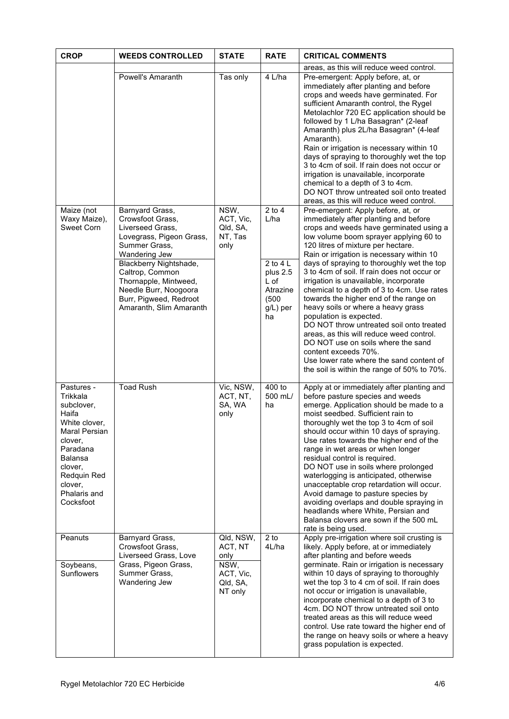| <b>CROP</b>                                                                                                                                                                                | <b>WEEDS CONTROLLED</b>                                                                                                                                                                                                                                                   | <b>STATE</b>                                                             | <b>RATE</b>                                                                                 | <b>CRITICAL COMMENTS</b>                                                                                                                                                                                                                                                                                                                                                                                                                                                                                                                                                                                                                                                                                                                                                                             |
|--------------------------------------------------------------------------------------------------------------------------------------------------------------------------------------------|---------------------------------------------------------------------------------------------------------------------------------------------------------------------------------------------------------------------------------------------------------------------------|--------------------------------------------------------------------------|---------------------------------------------------------------------------------------------|------------------------------------------------------------------------------------------------------------------------------------------------------------------------------------------------------------------------------------------------------------------------------------------------------------------------------------------------------------------------------------------------------------------------------------------------------------------------------------------------------------------------------------------------------------------------------------------------------------------------------------------------------------------------------------------------------------------------------------------------------------------------------------------------------|
|                                                                                                                                                                                            | Powell's Amaranth                                                                                                                                                                                                                                                         | Tas only                                                                 | 4 L/ha                                                                                      | areas, as this will reduce weed control.<br>Pre-emergent: Apply before, at, or<br>immediately after planting and before<br>crops and weeds have germinated. For<br>sufficient Amaranth control, the Rygel<br>Metolachlor 720 EC application should be<br>followed by 1 L/ha Basagran* (2-leaf<br>Amaranth) plus 2L/ha Basagran* (4-leaf<br>Amaranth).<br>Rain or irrigation is necessary within 10<br>days of spraying to thoroughly wet the top<br>3 to 4cm of soil. If rain does not occur or<br>irrigation is unavailable, incorporate<br>chemical to a depth of 3 to 4cm.<br>DO NOT throw untreated soil onto treated<br>areas, as this will reduce weed control.                                                                                                                                |
| Maize (not<br>Waxy Maize),<br>Sweet Corn                                                                                                                                                   | Barnyard Grass,<br>Crowsfoot Grass.<br>Liverseed Grass,<br>Lovegrass, Pigeon Grass,<br>Summer Grass,<br>Wandering Jew<br>Blackberry Nightshade,<br>Caltrop, Common<br>Thornapple, Mintweed,<br>Needle Burr, Noogoora<br>Burr, Pigweed, Redroot<br>Amaranth, Slim Amaranth | NSW,<br>ACT, Vic,<br>Qld, SA,<br>NT, Tas<br>only                         | $2$ to $4$<br>L/ha<br>2 to 4 $L$<br>plus 2.5<br>L of<br>Atrazine<br>(500)<br>g/L) per<br>ha | Pre-emergent: Apply before, at, or<br>immediately after planting and before<br>crops and weeds have germinated using a<br>low volume boom sprayer applying 60 to<br>120 litres of mixture per hectare.<br>Rain or irrigation is necessary within 10<br>days of spraying to thoroughly wet the top<br>3 to 4cm of soil. If rain does not occur or<br>irrigation is unavailable, incorporate<br>chemical to a depth of 3 to 4cm. Use rates<br>towards the higher end of the range on<br>heavy soils or where a heavy grass<br>population is expected.<br>DO NOT throw untreated soil onto treated<br>areas, as this will reduce weed control.<br>DO NOT use on soils where the sand<br>content exceeds 70%.<br>Use lower rate where the sand content of<br>the soil is within the range of 50% to 70%. |
| Pastures -<br>Trikkala<br>subclover,<br>Haifa<br>White clover,<br>Maral Persian<br>clover,<br>Paradana<br><b>Balansa</b><br>clover,<br>Redquin Red<br>clover,<br>Phalaris and<br>Cocksfoot | <b>Toad Rush</b>                                                                                                                                                                                                                                                          | Vic, NSW,<br>ACT, NT,<br>SA, WA<br>only                                  | 400 to<br>500 mL/<br>ha                                                                     | Apply at or immediately after planting and<br>before pasture species and weeds<br>emerge. Application should be made to a<br>moist seedbed. Sufficient rain to<br>thoroughly wet the top 3 to 4cm of soil<br>should occur within 10 days of spraying.<br>Use rates towards the higher end of the<br>range in wet areas or when longer<br>residual control is required.<br>DO NOT use in soils where prolonged<br>waterlogging is anticipated, otherwise<br>unacceptable crop retardation will occur.<br>Avoid damage to pasture species by<br>avoiding overlaps and double spraying in<br>headlands where White, Persian and<br>Balansa clovers are sown if the 500 mL<br>rate is being used.                                                                                                        |
| Peanuts<br>Soybeans,<br>Sunflowers                                                                                                                                                         | Barnyard Grass,<br>Crowsfoot Grass,<br>Liverseed Grass, Love<br>Grass, Pigeon Grass,<br>Summer Grass,<br>Wandering Jew                                                                                                                                                    | Qld, NSW,<br>ACT, NT<br>only<br>NSW,<br>ACT, Vic.<br>Qld, SA,<br>NT only | $2$ to<br>4L/ha                                                                             | Apply pre-irrigation where soil crusting is<br>likely. Apply before, at or immediately<br>after planting and before weeds<br>germinate. Rain or irrigation is necessary<br>within 10 days of spraying to thoroughly<br>wet the top 3 to 4 cm of soil. If rain does<br>not occur or irrigation is unavailable,<br>incorporate chemical to a depth of 3 to<br>4cm. DO NOT throw untreated soil onto<br>treated areas as this will reduce weed<br>control. Use rate toward the higher end of<br>the range on heavy soils or where a heavy<br>grass population is expected.                                                                                                                                                                                                                              |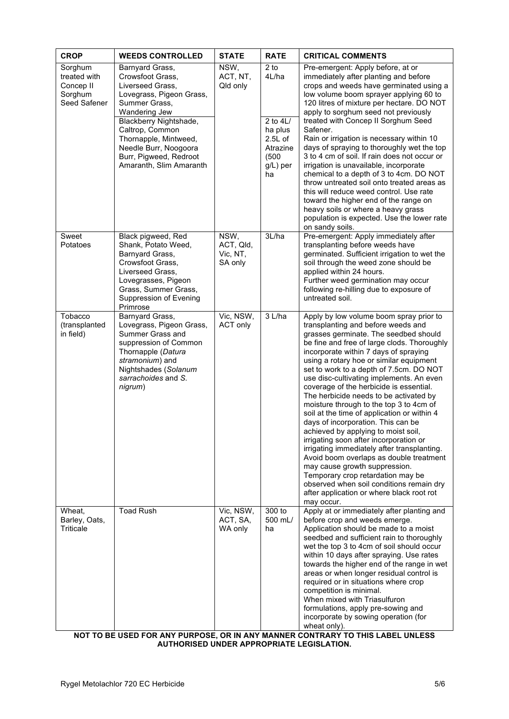| <b>CROP</b>                                                                | <b>WEEDS CONTROLLED</b>                                                                                                                                                                     | <b>STATE</b>                             | <b>RATE</b>                                      | <b>CRITICAL COMMENTS</b>                                                                                                                                                                                                                                                                                                                                                                                                                                                                                                                                                                                                                                                                                                                                                                                                                                                                                                      |
|----------------------------------------------------------------------------|---------------------------------------------------------------------------------------------------------------------------------------------------------------------------------------------|------------------------------------------|--------------------------------------------------|-------------------------------------------------------------------------------------------------------------------------------------------------------------------------------------------------------------------------------------------------------------------------------------------------------------------------------------------------------------------------------------------------------------------------------------------------------------------------------------------------------------------------------------------------------------------------------------------------------------------------------------------------------------------------------------------------------------------------------------------------------------------------------------------------------------------------------------------------------------------------------------------------------------------------------|
| Sorghum<br>treated with<br>Concep <sub>II</sub><br>Sorghum<br>Seed Safener | Barnyard Grass,<br>Crowsfoot Grass.<br>Liverseed Grass,<br>Lovegrass, Pigeon Grass,<br>Summer Grass,<br>Wandering Jew<br>Blackberry Nightshade,<br>Caltrop, Common                          | NSW,<br>ACT, NT,<br>Qld only             | $2$ to<br>4L/ha<br>2 to 4L/<br>ha plus           | Pre-emergent: Apply before, at or<br>immediately after planting and before<br>crops and weeds have germinated using a<br>low volume boom sprayer applying 60 to<br>120 litres of mixture per hectare. DO NOT<br>apply to sorghum seed not previously<br>treated with Concep II Sorghum Seed<br>Safener.                                                                                                                                                                                                                                                                                                                                                                                                                                                                                                                                                                                                                       |
|                                                                            | Thornapple, Mintweed,<br>Needle Burr, Noogoora<br>Burr, Pigweed, Redroot<br>Amaranth, Slim Amaranth                                                                                         |                                          | $2.5L$ of<br>Atrazine<br>(500)<br>g/L) per<br>ha | Rain or irrigation is necessary within 10<br>days of spraying to thoroughly wet the top<br>3 to 4 cm of soil. If rain does not occur or<br>irrigation is unavailable, incorporate<br>chemical to a depth of 3 to 4cm. DO NOT<br>throw untreated soil onto treated areas as<br>this will reduce weed control. Use rate<br>toward the higher end of the range on<br>heavy soils or where a heavy grass<br>population is expected. Use the lower rate<br>on sandy soils.                                                                                                                                                                                                                                                                                                                                                                                                                                                         |
| Sweet<br>Potatoes                                                          | Black pigweed, Red<br>Shank, Potato Weed,<br>Barnyard Grass,<br>Crowsfoot Grass,<br>Liverseed Grass,<br>Lovegrasses, Pigeon<br>Grass, Summer Grass,<br>Suppression of Evening<br>Primrose   | NSW,<br>ACT, Qld,<br>Vic, NT,<br>SA only | 3L/ha                                            | Pre-emergent: Apply immediately after<br>transplanting before weeds have<br>germinated. Sufficient irrigation to wet the<br>soil through the weed zone should be<br>applied within 24 hours.<br>Further weed germination may occur<br>following re-hilling due to exposure of<br>untreated soil.                                                                                                                                                                                                                                                                                                                                                                                                                                                                                                                                                                                                                              |
| Tobacco<br>(transplanted<br>in field)                                      | Barnyard Grass,<br>Lovegrass, Pigeon Grass,<br>Summer Grass and<br>suppression of Common<br>Thornapple (Datura<br>stramonium) and<br>Nightshades (Solanum<br>sarrachoides and S.<br>nigrum) | Vic, NSW,<br>ACT only                    | 3 L/ha                                           | Apply by low volume boom spray prior to<br>transplanting and before weeds and<br>grasses germinate. The seedbed should<br>be fine and free of large clods. Thoroughly<br>incorporate within 7 days of spraying<br>using a rotary hoe or similar equipment<br>set to work to a depth of 7.5cm. DO NOT<br>use disc-cultivating implements. An even<br>coverage of the herbicide is essential.<br>The herbicide needs to be activated by<br>moisture through to the top 3 to 4cm of<br>soil at the time of application or within 4<br>days of incorporation. This can be<br>achieved by applying to moist soil,<br>irrigating soon after incorporation or<br>irrigating immediately after transplanting.<br>Avoid boom overlaps as double treatment<br>may cause growth suppression.<br>Temporary crop retardation may be<br>observed when soil conditions remain dry<br>after application or where black root rot<br>may occur. |
| Wheat.<br>Barley, Oats,<br><b>Triticale</b>                                | <b>Toad Rush</b>                                                                                                                                                                            | Vic, NSW,<br>ACT, SA,<br>WA only         | 300 to<br>500 mL/<br>ha                          | Apply at or immediately after planting and<br>before crop and weeds emerge.<br>Application should be made to a moist<br>seedbed and sufficient rain to thoroughly<br>wet the top 3 to 4cm of soil should occur<br>within 10 days after spraying. Use rates<br>towards the higher end of the range in wet<br>areas or when longer residual control is<br>required or in situations where crop<br>competition is minimal.<br>When mixed with Triasulfuron<br>formulations, apply pre-sowing and<br>incorporate by sowing operation (for<br>wheat only).<br>NOT TO BE HISED FOR ANY DHRPOSE, OR IN ANY MANNER CONTRARY TO THIS LAREL HNI FSS                                                                                                                                                                                                                                                                                     |

**NOT TO BE USED FOR ANY PURPOSE, OR IN ANY MANNER CONTRARY TO THIS LABEL UNLESS AUTHORISED UNDER APPROPRIATE LEGISLATION.**